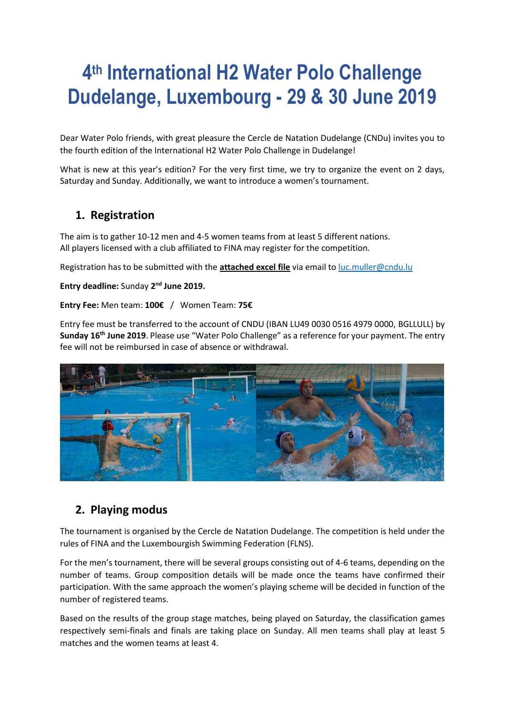# **4 th International H2 Water Polo Challenge Dudelange, Luxembourg - 29 & 30 June 2019**

Dear Water Polo friends, with great pleasure the Cercle de Natation Dudelange (CNDu) invites you to the fourth edition of the International H2 Water Polo Challenge in Dudelange!

What is new at this year's edition? For the very first time, we try to organize the event on 2 days, Saturday and Sunday. Additionally, we want to introduce a women's tournament.

#### **1. Registration**

The aim is to gather 10-12 men and 4-5 women teams from at least 5 different nations. All players licensed with a club affiliated to FINA may register for the competition.

Registration has to be submitted with the **attached excel file** via email to [luc.muller@cndu.lu](mailto:luc.muller@cndu.lu)

**Entry deadline:** Sunday 2<sup>nd</sup> June 2019.

#### **Entry Fee:** Men team: **100€** / Women Team: **75€**

Entry fee must be transferred to the account of CNDU (IBAN LU49 0030 0516 4979 0000, BGLLULL) by **Sunday 16th June 2019**. Please use "Water Polo Challenge" as a reference for your payment. The entry fee will not be reimbursed in case of absence or withdrawal.



#### **2. Playing modus**

The tournament is organised by the Cercle de Natation Dudelange. The competition is held under the rules of FINA and the Luxembourgish Swimming Federation (FLNS).

For the men's tournament, there will be several groups consisting out of 4-6 teams, depending on the number of teams. Group composition details will be made once the teams have confirmed their participation. With the same approach the women's playing scheme will be decided in function of the number of registered teams.

Based on the results of the group stage matches, being played on Saturday, the classification games respectively semi-finals and finals are taking place on Sunday. All men teams shall play at least 5 matches and the women teams at least 4.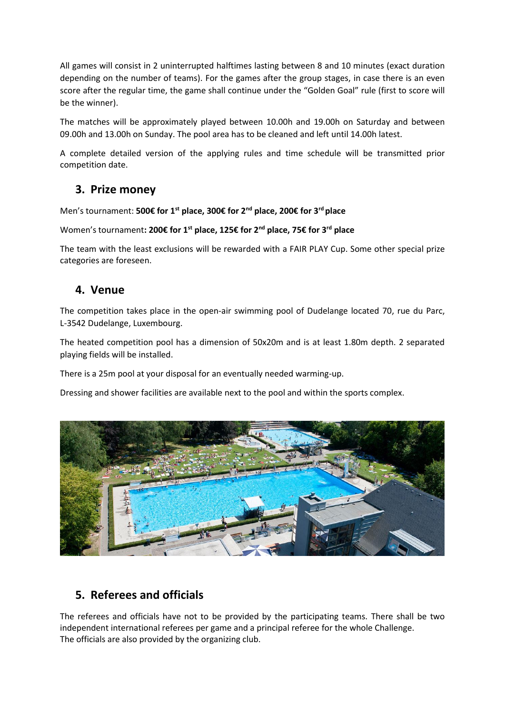All games will consist in 2 uninterrupted halftimes lasting between 8 and 10 minutes (exact duration depending on the number of teams). For the games after the group stages, in case there is an even score after the regular time, the game shall continue under the "Golden Goal" rule (first to score will be the winner).

The matches will be approximately played between 10.00h and 19.00h on Saturday and between 09.00h and 13.00h on Sunday. The pool area has to be cleaned and left until 14.00h latest.

A complete detailed version of the applying rules and time schedule will be transmitted prior competition date.

#### **3. Prize money**

Men's tournament: **500€ for 1st place, 300€ for 2nd place, 200€ for 3rd place**

Women's tournament**: 200€ for 1st place, 125€ for 2nd place, 75€ for 3rd place**

The team with the least exclusions will be rewarded with a FAIR PLAY Cup. Some other special prize categories are foreseen.

#### **4. Venue**

The competition takes place in the open-air swimming pool of Dudelange located 70, rue du Parc, L-3542 Dudelange, Luxembourg.

The heated competition pool has a dimension of 50x20m and is at least 1.80m depth. 2 separated playing fields will be installed.

There is a 25m pool at your disposal for an eventually needed warming-up.

Dressing and shower facilities are available next to the pool and within the sports complex.



# **5. Referees and officials**

The referees and officials have not to be provided by the participating teams. There shall be two independent international referees per game and a principal referee for the whole Challenge. The officials are also provided by the organizing club.